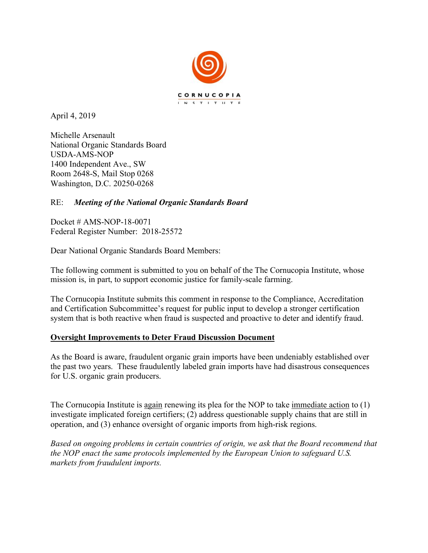

April 4, 2019

Michelle Arsenault National Organic Standards Board USDA-AMS-NOP 1400 Independent Ave., SW Room 2648-S, Mail Stop 0268 Washington, D.C. 20250-0268

## RE: *Meeting of the National Organic Standards Board*

Docket # AMS-NOP-18-0071 Federal Register Number: 2018-25572

Dear National Organic Standards Board Members:

The following comment is submitted to you on behalf of the The Cornucopia Institute, whose mission is, in part, to support economic justice for family-scale farming.

The Cornucopia Institute submits this comment in response to the Compliance, Accreditation and Certification Subcommittee's request for public input to develop a stronger certification system that is both reactive when fraud is suspected and proactive to deter and identify fraud.

## **Oversight Improvements to Deter Fraud Discussion Document**

As the Board is aware, fraudulent organic grain imports have been undeniably established over the past two years. These fraudulently labeled grain imports have had disastrous consequences for U.S. organic grain producers.

The Cornucopia Institute is again renewing its plea for the NOP to take immediate action to (1) investigate implicated foreign certifiers; (2) address questionable supply chains that are still in operation, and (3) enhance oversight of organic imports from high-risk regions.

*Based on ongoing problems in certain countries of origin, we ask that the Board recommend that the NOP enact the same protocols implemented by the European Union to safeguard U.S. markets from fraudulent imports.*